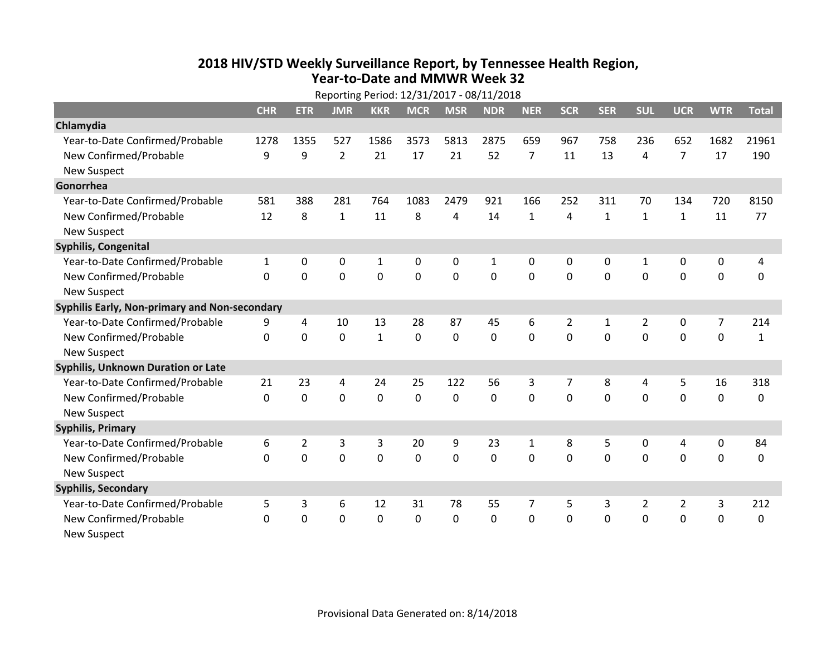## **2018 HIV /STD Weekl y Surveillance Report, b y Tennessee Health Region, Year‐to‐Date and MMWR Week 32**

|                                               | Reporting Period: 12/31/2017 - 08/11/2018 |                |                |              |                |                |                |                |                |              |                |                |             |              |
|-----------------------------------------------|-------------------------------------------|----------------|----------------|--------------|----------------|----------------|----------------|----------------|----------------|--------------|----------------|----------------|-------------|--------------|
|                                               | <b>CHR</b>                                | <b>ETR</b>     | <b>JMR</b>     | <b>KKR</b>   | <b>MCR</b>     | <b>MSR</b>     | <b>NDR</b>     | <b>NER</b>     | <b>SCR</b>     | <b>SER</b>   | <b>SUL</b>     | <b>UCR</b>     | <b>WTR</b>  | <b>Total</b> |
| Chlamydia                                     |                                           |                |                |              |                |                |                |                |                |              |                |                |             |              |
| Year-to-Date Confirmed/Probable               | 1278                                      | 1355           | 527            | 1586         | 3573           | 5813           | 2875           | 659            | 967            | 758          | 236            | 652            | 1682        | 21961        |
| New Confirmed/Probable                        | 9                                         | 9              | $\overline{2}$ | 21           | 17             | 21             | 52             | $\overline{7}$ | 11             | 13           | 4              | $\overline{7}$ | 17          | 190          |
| <b>New Suspect</b>                            |                                           |                |                |              |                |                |                |                |                |              |                |                |             |              |
| Gonorrhea                                     |                                           |                |                |              |                |                |                |                |                |              |                |                |             |              |
| Year-to-Date Confirmed/Probable               | 581                                       | 388            | 281            | 764          | 1083           | 2479           | 921            | 166            | 252            | 311          | 70             | 134            | 720         | 8150         |
| New Confirmed/Probable                        | 12                                        | 8              | $\mathbf{1}$   | 11           | 8              | $\overline{4}$ | 14             | $\mathbf{1}$   | 4              | $\mathbf{1}$ | $\mathbf{1}$   | $\mathbf{1}$   | 11          | 77           |
| <b>New Suspect</b>                            |                                           |                |                |              |                |                |                |                |                |              |                |                |             |              |
| Syphilis, Congenital                          |                                           |                |                |              |                |                |                |                |                |              |                |                |             |              |
| Year-to-Date Confirmed/Probable               | $\mathbf{1}$                              | 0              | 0              | $\mathbf{1}$ | 0              | 0              | 1              | 0              | 0              | $\mathbf{0}$ | 1              | 0              | 0           | 4            |
| New Confirmed/Probable                        | $\Omega$                                  | $\Omega$       | 0              | $\mathbf 0$  | $\overline{0}$ | $\mathbf 0$    | $\overline{0}$ | $\mathbf{0}$   | $\mathbf 0$    | $\Omega$     | $\mathbf{0}$   | $\mathbf 0$    | $\mathbf 0$ | $\mathbf 0$  |
| <b>New Suspect</b>                            |                                           |                |                |              |                |                |                |                |                |              |                |                |             |              |
| Syphilis Early, Non-primary and Non-secondary |                                           |                |                |              |                |                |                |                |                |              |                |                |             |              |
| Year-to-Date Confirmed/Probable               | 9                                         | 4              | 10             | 13           | 28             | 87             | 45             | 6              | $\overline{2}$ | 1            | $\overline{2}$ | 0              | 7           | 214          |
| New Confirmed/Probable                        | $\Omega$                                  | 0              | $\mathbf 0$    | $\mathbf{1}$ | 0              | $\mathbf 0$    | $\mathbf 0$    | 0              | $\Omega$       | $\Omega$     | $\mathbf{0}$   | $\mathbf 0$    | $\mathbf 0$ | 1            |
| <b>New Suspect</b>                            |                                           |                |                |              |                |                |                |                |                |              |                |                |             |              |
| Syphilis, Unknown Duration or Late            |                                           |                |                |              |                |                |                |                |                |              |                |                |             |              |
| Year-to-Date Confirmed/Probable               | 21                                        | 23             | $\overline{4}$ | 24           | 25             | 122            | 56             | 3              | $\overline{7}$ | 8            | 4              | 5              | 16          | 318          |
| New Confirmed/Probable                        | $\Omega$                                  | 0              | $\mathbf 0$    | $\mathbf 0$  | $\mathbf 0$    | $\Omega$       | 0              | 0              | $\Omega$       | $\Omega$     | $\Omega$       | $\mathbf 0$    | $\mathbf 0$ | $\Omega$     |
| <b>New Suspect</b>                            |                                           |                |                |              |                |                |                |                |                |              |                |                |             |              |
| <b>Syphilis, Primary</b>                      |                                           |                |                |              |                |                |                |                |                |              |                |                |             |              |
| Year-to-Date Confirmed/Probable               | 6                                         | $\overline{2}$ | 3              | 3            | 20             | 9              | 23             | $\mathbf{1}$   | 8              | 5            | $\mathbf 0$    | 4              | $\mathbf 0$ | 84           |
| New Confirmed/Probable                        | $\Omega$                                  | 0              | $\mathbf 0$    | $\mathbf 0$  | 0              | $\mathbf 0$    | $\mathbf 0$    | 0              | $\mathbf 0$    | $\mathbf{0}$ | $\mathbf 0$    | $\mathbf 0$    | $\mathbf 0$ | 0            |
| <b>New Suspect</b>                            |                                           |                |                |              |                |                |                |                |                |              |                |                |             |              |
| <b>Syphilis, Secondary</b>                    |                                           |                |                |              |                |                |                |                |                |              |                |                |             |              |
| Year-to-Date Confirmed/Probable               | 5                                         | 3              | 6              | 12           | 31             | 78             | 55             | 7              | 5              | 3            | $\overline{2}$ | $\overline{2}$ | 3           | 212          |
| New Confirmed/Probable                        | 0                                         | 0              | $\mathbf 0$    | $\mathbf 0$  | 0              | 0              | 0              | 0              | $\mathbf 0$    | $\mathbf{0}$ | $\mathbf 0$    | $\mathbf 0$    | $\mathbf 0$ | 0            |
| <b>New Suspect</b>                            |                                           |                |                |              |                |                |                |                |                |              |                |                |             |              |